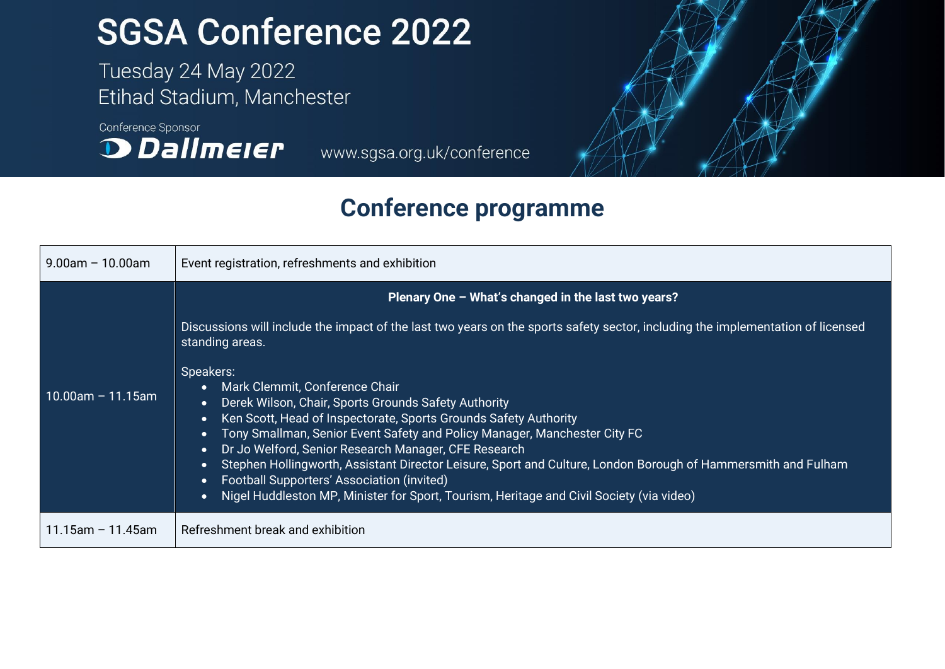## **SGSA Conference 2022**

Tuesday 24 May 2022 Etihad Stadium, Manchester

Conference Sponsor **D** Dallmeier

www.sgsa.org.uk/conference



## **Conference programme**

| $9.00$ am - 10.00am  | Event registration, refreshments and exhibition                                                                                                                                                                                                                                                                                                                                                                                                                                                                                                                                                                                                                                                                                                                                                                                                                                              |
|----------------------|----------------------------------------------------------------------------------------------------------------------------------------------------------------------------------------------------------------------------------------------------------------------------------------------------------------------------------------------------------------------------------------------------------------------------------------------------------------------------------------------------------------------------------------------------------------------------------------------------------------------------------------------------------------------------------------------------------------------------------------------------------------------------------------------------------------------------------------------------------------------------------------------|
| $10.00$ am – 11.15am | Plenary One - What's changed in the last two years?<br>Discussions will include the impact of the last two years on the sports safety sector, including the implementation of licensed<br>standing areas.<br>Speakers:<br>Mark Clemmit, Conference Chair<br>$\bullet$<br>Derek Wilson, Chair, Sports Grounds Safety Authority<br>$\bullet$<br>Ken Scott, Head of Inspectorate, Sports Grounds Safety Authority<br>$\bullet$<br>Tony Smallman, Senior Event Safety and Policy Manager, Manchester City FC<br>$\bullet$<br>Dr Jo Welford, Senior Research Manager, CFE Research<br>$\bullet$<br>Stephen Hollingworth, Assistant Director Leisure, Sport and Culture, London Borough of Hammersmith and Fulham<br>$\bullet$<br>Football Supporters' Association (invited)<br>$\bullet$<br>Nigel Huddleston MP, Minister for Sport, Tourism, Heritage and Civil Society (via video)<br>$\bullet$ |
| $11.15$ am - 11.45am | Refreshment break and exhibition                                                                                                                                                                                                                                                                                                                                                                                                                                                                                                                                                                                                                                                                                                                                                                                                                                                             |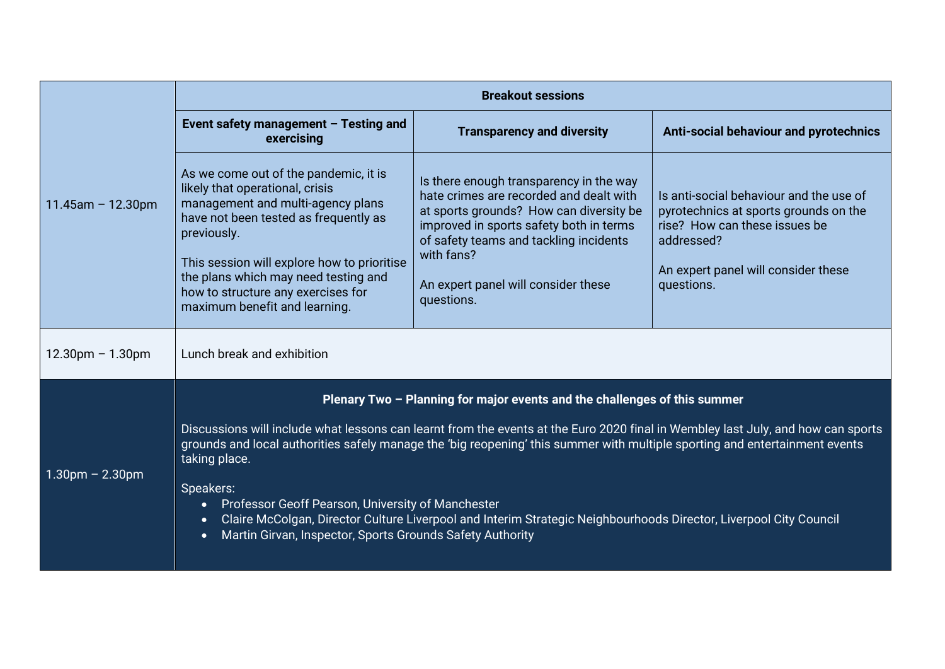|                      | <b>Breakout sessions</b>                                                                                                                                                                                                                                                                                                                                                                                                                                                                                                                                                                                                                                 |                                                                                                                                                                                                                                                                                       |                                                                                                                                                                                      |  |  |
|----------------------|----------------------------------------------------------------------------------------------------------------------------------------------------------------------------------------------------------------------------------------------------------------------------------------------------------------------------------------------------------------------------------------------------------------------------------------------------------------------------------------------------------------------------------------------------------------------------------------------------------------------------------------------------------|---------------------------------------------------------------------------------------------------------------------------------------------------------------------------------------------------------------------------------------------------------------------------------------|--------------------------------------------------------------------------------------------------------------------------------------------------------------------------------------|--|--|
| $11.45$ am - 12.30pm | Event safety management $-$ Testing and<br>exercising                                                                                                                                                                                                                                                                                                                                                                                                                                                                                                                                                                                                    | <b>Transparency and diversity</b>                                                                                                                                                                                                                                                     | Anti-social behaviour and pyrotechnics                                                                                                                                               |  |  |
|                      | As we come out of the pandemic, it is<br>likely that operational, crisis<br>management and multi-agency plans<br>have not been tested as frequently as<br>previously.<br>This session will explore how to prioritise<br>the plans which may need testing and<br>how to structure any exercises for<br>maximum benefit and learning.                                                                                                                                                                                                                                                                                                                      | Is there enough transparency in the way<br>hate crimes are recorded and dealt with<br>at sports grounds? How can diversity be<br>improved in sports safety both in terms<br>of safety teams and tackling incidents<br>with fans?<br>An expert panel will consider these<br>questions. | Is anti-social behaviour and the use of<br>pyrotechnics at sports grounds on the<br>rise? How can these issues be<br>addressed?<br>An expert panel will consider these<br>questions. |  |  |
| $12.30pm - 1.30pm$   | Lunch break and exhibition                                                                                                                                                                                                                                                                                                                                                                                                                                                                                                                                                                                                                               |                                                                                                                                                                                                                                                                                       |                                                                                                                                                                                      |  |  |
| $1.30pm - 2.30pm$    | Plenary Two - Planning for major events and the challenges of this summer<br>Discussions will include what lessons can learnt from the events at the Euro 2020 final in Wembley last July, and how can sports<br>grounds and local authorities safely manage the 'big reopening' this summer with multiple sporting and entertainment events<br>taking place.<br>Speakers:<br>Professor Geoff Pearson, University of Manchester<br>$\bullet$<br>Claire McColgan, Director Culture Liverpool and Interim Strategic Neighbourhoods Director, Liverpool City Council<br>$\bullet$<br>Martin Girvan, Inspector, Sports Grounds Safety Authority<br>$\bullet$ |                                                                                                                                                                                                                                                                                       |                                                                                                                                                                                      |  |  |